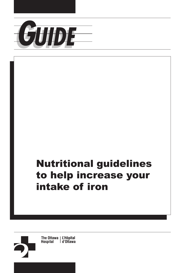

# Nutritional guidelines to help increase your intake of iron

The Ottawa | L'Hôpital<br>Hospital | d'Ottawa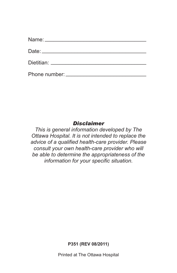| Dietitian: <u>Dietitian</u> |
|-----------------------------|
|                             |

#### *Disclaimer*

*This is general information developed by The Ottawa Hospital. It is not intended to replace the advice of a qualified health-care provider. Please consult your own health-care provider who will be able to determine the appropriateness of the information for your specific situation.* 

**P351 (REV 08/2011)** 

Printed at The Ottawa Hospital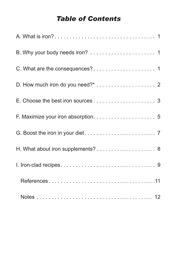## *Table of Contents*

| H. What about iron supplements? 8 |
|-----------------------------------|
|                                   |
|                                   |
|                                   |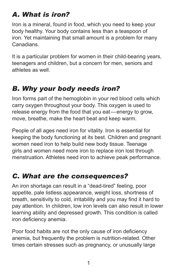# <span id="page-4-0"></span>*A. What is iron?*

Iron is a mineral, found in food, which you need to keep your body healthy. Your body contains less than a teaspoon of iron. Yet maintaining that small amount is a problem for many Canadians.

It is a particular problem for women in their child-bearing years, teenagers and children, but a concern for men, seniors and athletes as well.

# *B. Why your body needs iron?*

Iron forms part of the hemoglobin in your red blood cells which carry oxygen throughout your body. This oxygen is used to release energy from the food that you eat—energy to grow, move, breathe, make the heart beat and keep warm.

People of all ages need iron for vitality. Iron is essential for keeping the body functioning at its best. Children and pregnant women need iron to help build new body tissue. Teenage girls and women need more iron to replace iron lost through menstruation. Athletes need iron to achieve peak performance.

# *C. What are the consequences?*

An iron shortage can result in a "dead-tired" feeling, poor appetite, pale listless appearance, weight loss, shortness of breath, sensitivity to cold, irritability and you may find it hard to pay attention. In children, low iron levels can also result in lower learning ability and depressed growth. This condition is called iron deficiency anemia.

Poor food habits are not the only cause of iron deficiency anemia, but frequently the problem is nutrition-related. Other times certain stresses such as pregnancy, or unusually large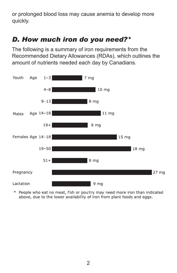<span id="page-5-0"></span>or prolonged blood loss may cause anemia to develop more quickly.

# *D. How much iron do you need?\**

The following is a summary of iron requirements from the Recommended Dietary Allowances (RDAs), which outlines the amount of nutrients needed each day by Canadians.



\* People who eat no meat, fish or poultry may need more iron than indicated above, due to the lower availability of iron from plant foods and eggs.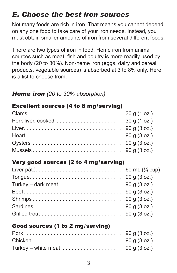# <span id="page-6-0"></span>*E. Choose the best iron sources*

Not many foods are rich in iron. That means you cannot depend on any one food to take care of your iron needs. Instead, you must obtain smaller amounts of iron from several different foods.

There are two types of iron in food. Heme iron from animal sources such as meat, fish and poultry is more readily used by the body (20 to 30%). Non-heme iron (eggs, dairy and cereal products, vegetable sources) is absorbed at 3 to 8% only. Here is a list to choose from.

### *Heme iron (20 to 30% absorption)*

### Excellent sources (4 to 8 mg/serving)

### Very good sources (2 to 4 mg/serving)

| Grilled trout $\dots \dots \dots \dots \dots \dots \dots \dots \dots \dots$ 90 g (3 oz.) |  |
|------------------------------------------------------------------------------------------|--|

### Good sources (1 to 2 mg/serving)

| Turkey – white meat $\dots \dots \dots \dots \dots \dots \dots 90$ g (3 oz.) |  |
|------------------------------------------------------------------------------|--|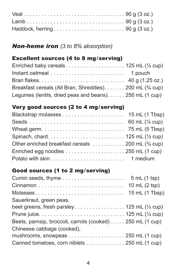### *Non-heme iron (3 to 8% absorption)*

### Excellent sources (4 to 8 mg/serving)

| Breakfast cereals (All Bran, Shreddies). 200 mL (3/4 cup) |  |
|-----------------------------------------------------------|--|
| Legumes (lentils, dried peas and beans). 250 mL (1 cup)   |  |

### Very good sources (2 to 4 mg/serving)

| Wheat germ. $\ldots \ldots \ldots \ldots \ldots \ldots \ldots \ldots$ 75 mL (5 Tbsp)   |  |
|----------------------------------------------------------------------------------------|--|
|                                                                                        |  |
| Other enriched breakfast cereals $\dots \dots \dots \dots$ 200 mL ( $\frac{3}{4}$ cup) |  |
| Enriched egg noodles $\dots \dots \dots \dots \dots \dots \dots$ 250 mL (1 cup)        |  |
|                                                                                        |  |

### Good sources (1 to 2 mg/serving)

| Cumin seeds, thyme $\dots \dots \dots \dots \dots \dots$ 5 mL (1 tsp)          |
|--------------------------------------------------------------------------------|
|                                                                                |
|                                                                                |
| Sauerkraut, green peas,                                                        |
|                                                                                |
|                                                                                |
| Beets, parnsip, broccoli, carrots (cooked) 250 mL (1 cup)                      |
| Chineese cabbage (cooked),                                                     |
| mushrooms, snowpeas $\ldots \ldots \ldots \ldots \ldots \ldots 250$ mL (1 cup) |
| Canned tomatoes, corn niblets 250 mL (1 cup)                                   |
|                                                                                |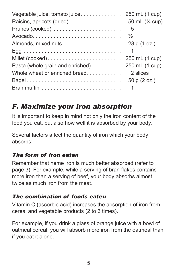<span id="page-8-0"></span>

| Raisins, apricots (dried). $\dots \dots \dots \dots \dots$ 50 mL ( $\frac{1}{4}$ cup) |  |
|---------------------------------------------------------------------------------------|--|
|                                                                                       |  |
|                                                                                       |  |
|                                                                                       |  |
|                                                                                       |  |
|                                                                                       |  |
| Pasta (whole grain and enriched) 250 mL (1 cup)                                       |  |
|                                                                                       |  |
|                                                                                       |  |
|                                                                                       |  |

# *F. Maximize your iron absorption*

It is important to keep in mind not only the iron content of the food you eat, but also how well it is absorbed by your body.

Several factors affect the quantity of iron which your body absorbs:

### *The form of iron eaten*

Remember that heme iron is much better absorbed (refer to page 3). For example, while a serving of bran flakes contains more iron than a serving of beef, your body absorbs almost twice as much iron from the meat.

### *The combination of foods eaten*

Vitamin C (ascorbic acid) increases the absorption of iron from cereal and vegetable products (2 to 3 times).

For example, if you drink a glass of orange juice with a bowl of oatmeal cereal, you will absorb more iron from the oatmeal than if you eat it alone.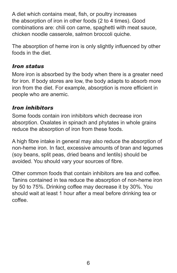A diet which contains meat, fish, or poultry increases the absorption of iron in other foods (2 to 4 times). Good combinations are: chili con carne, spaghetti with meat sauce, chicken noodle casserole, salmon broccoli quiche.

The absorption of heme iron is only slightly influenced by other foods in the diet.

#### *Iron status*

More iron is absorbed by the body when there is a greater need for iron. If body stores are low, the body adapts to absorb more iron from the diet. For example, absorption is more efficient in people who are anemic.

### *Iron inhibitors*

Some foods contain iron inhibitors which decrease iron absorption. Oxalates in spinach and phytates in whole grains reduce the absorption of iron from these foods.

A high fibre intake in general may also reduce the absorption of non-heme iron. In fact, excessive amounts of bran and legumes (soy beans, split peas, dried beans and lentils) should be avoided. You should vary your sources of fibre.

Other common foods that contain inhibitors are tea and coffee. Tanins contained in tea reduce the absorption of non-heme iron by 50 to 75%. Drinking coffee may decrease it by 30%. You should wait at least 1 hour after a meal before drinking tea or coffee.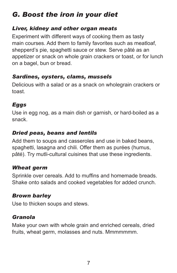# <span id="page-10-0"></span>*G. Boost the iron in your diet*

#### *Liver, kidney and other organ meats*

Experiment with different ways of cooking them as tasty main courses. Add them to family favorites such as meatloaf, shepperd's pie, spaghetti sauce or stew. Serve pâté as an appetizer or snack on whole grain crackers or toast, or for lunch on a bagel, bun or bread.

#### *Sardines, oysters, clams, mussels*

Delicious with a salad or as a snack on wholegrain crackers or toast.

### *Eggs*

Use in egg nog, as a main dish or garnish, or hard-boiled as a snack.

### *Dried peas, beans and lentils*

Add them to soups and casseroles and use in baked beans, spaghetti, lasagna and chili. Offer them as purées (humus, pâté). Try mutli-cultural cuisines that use these ingredients.

### *Wheat germ*

Sprinkle over cereals. Add to muffins and homemade breads. Shake onto salads and cooked vegetables for added crunch.

### *Brown barley*

Use to thicken soups and stews.

### *Granola*

Make your own with whole grain and enriched cereals, dried fruits, wheat germ, molasses and nuts. Mmmmmmm.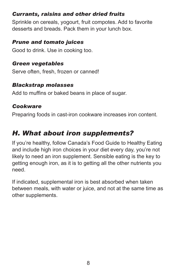### <span id="page-11-0"></span>*Currants, raisins and other dried fruits*

Sprinkle on cereals, yogourt, fruit compotes. Add to favorite desserts and breads. Pack them in your lunch box.

### *Prune and tomato juices*

Good to drink. Use in cooking too.

### *Green vegetables*

Serve often, fresh, frozen or canned!

### *Blackstrap molasses*

Add to muffins or baked beans in place of sugar.

### *Cookware*

Preparing foods in cast-iron cookware increases iron content.

# *H. What about iron supplements?*

If you're healthy, follow Canada's Food Guide to Healthy Eating and include high iron choices in your diet every day, you're not likely to need an iron supplement. Sensible eating is the key to getting enough iron, as it is to getting all the other nutrients you need.

If indicated, supplemental iron is best absorbed when taken between meals, with water or juice, and not at the same time as other supplements.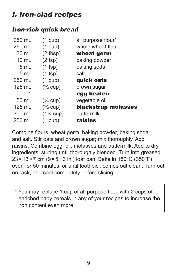# *I. Iron-clad recipes*

### *Iron-rich quick bread*

| 250 mL          | $(1 \text{ cup})$    | all purpose flour*  |
|-----------------|----------------------|---------------------|
| 250 mL          | $(1 \text{ cup})$    | whole wheat flour   |
| 30 mL           | $(2$ tbsp)           | wheat germ          |
| $10 \text{ mL}$ | $(2$ tsp)            | baking powder       |
| 5 mL            | $(1$ tsp)            | baking soda         |
| 5 mL            | $(1$ tsp)            | salt                |
| 250 mL          | $(1 \text{ cup})$    | quick oats          |
| $125$ mL        | $(\frac{1}{2}$ cup)  | brown sugar         |
| 1               |                      | egg beaten          |
| 50 mL           | $(\frac{1}{4}$ cup)  | vegetable oil       |
| 125 mL          | $(\frac{1}{2}$ cup)  | blackstrap molasses |
| 300 mL          | $(1\frac{1}{4}$ cup) | buttermilk          |
| 250 mL          | $(1 \text{ cup})$    | raisins             |

Combine flours, wheat germ, baking powder, baking soda and salt. Stir oats and brown sugar; mix thoroughly. Add raisins. Combine egg, oil, molasses and buttermilk. Add to dry ingredients, stirring until thoroughly blended. Turn into greased  $23 \times 13 \times 7$  cm ( $9 \times 5 \times 3$  in.) loaf pan. Bake in 180°C (350°F) oven for 50 minutes, or until toothpick comes out clean. Turn out on rack, and cool completely before slicing.

\* You may replace 1 cup of all purpose flour with 2 cups of enriched baby cereals in any of your recipes to increase the iron content even more!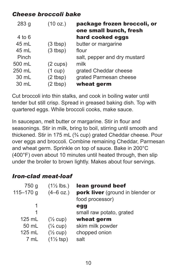### *Cheese broccoli bake*

| (10 oz.)           | package frozen broccoli, or<br>one small bunch, fresh |
|--------------------|-------------------------------------------------------|
|                    | hard cooked eggs                                      |
| $(3$ tbsp)         | butter or margarine                                   |
| $(3$ tbsp)         | flour                                                 |
|                    | salt, pepper and dry mustard                          |
| $(2 \text{ cups})$ | milk                                                  |
| $(1 \text{ cup})$  | grated Cheddar cheese                                 |
| $(2$ tbsp)         | grated Parmesan cheese                                |
| $(2$ tbsp)         | wheat germ                                            |
|                    |                                                       |

Cut broccoli into thin stalks, and cook in boiling water until tender but still crisp. Spread in greased baking dish. Top with quartered eggs. While broccoli cooks, make sauce.

In saucepan, melt butter or margarine. Stir in flour and seasonings. Stir in milk, bring to boil, stirring until smooth and thickened. Stir in 175 mL (¾ cup) grated Cheddar cheese. Pour over eggs and broccoli. Combine remaining Cheddar, Parmesan and wheat germ. Sprinkle on top of sauce. Bake in 200°C (400°F) oven about 10 minutes until heated through, then slip under the broiler to brown lightly. Makes about four servings.

### *Iron-clad meat-loaf*

| 750 g<br>$115 - 170$ g                | $(1\frac{1}{2}$ lbs.)<br>$(4-6$ oz.)                                                              | lean ground beef<br>pork liver (ground in blender or<br>food processor) |
|---------------------------------------|---------------------------------------------------------------------------------------------------|-------------------------------------------------------------------------|
| 1<br>1                                |                                                                                                   | egg<br>small raw potato, grated                                         |
| $125$ mL<br>50 mL<br>$125$ mL<br>7 mL | $(\frac{1}{2}$ cup)<br>$(\frac{1}{4}$ cup)<br>$(\frac{1}{2}$ cup)<br>$(1\frac{1}{2} \text{ tsp})$ | wheat germ<br>skim milk powder<br>chopped onion<br>salt                 |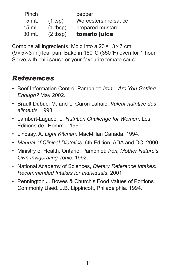| Pinch           |            | pepper               |
|-----------------|------------|----------------------|
| 5 mL            | $(1$ tsp)  | Worcestershire sauce |
| $15 \text{ mL}$ | $(1$ tbsp) | prepared mustard     |
| 30 mL           | $(2$ tbsp) | tomato juice         |

Combine all ingredients. Mold into a 23 × 13 × 7 cm  $(9 \times 5 \times 3)$  in.) loaf pan. Bake in 180°C (350°F) oven for 1 hour. Serve with chili sauce or your favourite tomato sauce.

# *References*

- Beef Information Centre. Pamphlet: *Iron... Are You Getting Enough?* May 2002.
- Brault Dubuc, M. and L. Caron Lahaie. *Valeur nutritive des aliments.* 1998.
- Lambert-Lagacé, L. *Nutrition Challenge for Women*. Les Éditions de l'Homme. 1990.
- Lindsay, A. *Light Kitchen*. MacMillan Canada. 1994.
- *Manual of Clinical Dietetics*. 6th Edition. ADA and DC. 2000.
- Ministry of Health, Ontario. Pamphlet: *Iron, Mother Nature's Own Invigorating Tonic*. 1992.
- National Academy of Sciences, *Dietary Reference Intakes: Recommended Intakes for Individuals*. 2001
- Pennington J. Bowes & Church's Food Values of Portions Commonly Used. J.B. Lippincott, Philadelphia. 1994.